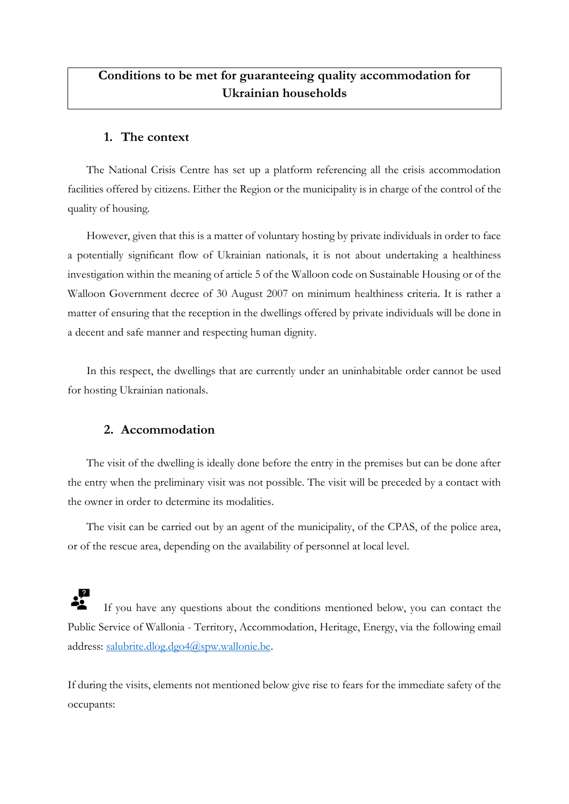## **Conditions to be met for guaranteeing quality accommodation for Ukrainian households**

## **1. The context**

The National Crisis Centre has set up a platform referencing all the crisis accommodation facilities offered by citizens. Either the Region or the municipality is in charge of the control of the quality of housing.

However, given that this is a matter of voluntary hosting by private individuals in order to face a potentially significant flow of Ukrainian nationals, it is not about undertaking a healthiness investigation within the meaning of article 5 of the Walloon code on Sustainable Housing or of the Walloon Government decree of 30 August 2007 on minimum healthiness criteria. It is rather a matter of ensuring that the reception in the dwellings offered by private individuals will be done in a decent and safe manner and respecting human dignity.

In this respect, the dwellings that are currently under an uninhabitable order cannot be used for hosting Ukrainian nationals.

## **2. Accommodation**

The visit of the dwelling is ideally done before the entry in the premises but can be done after the entry when the preliminary visit was not possible. The visit will be preceded by a contact with the owner in order to determine its modalities.

The visit can be carried out by an agent of the municipality, of the CPAS, of the police area, or of the rescue area, depending on the availability of personnel at local level.

 If you have any questions about the conditions mentioned below, you can contact the Public Service of Wallonia - Territory, Accommodation, Heritage, Energy, via the following email address: [salubrite.dlog.dgo4@spw.wallonie.be.](mailto:salubrite.dlog.dgo4@spw.wallonie.be)

If during the visits, elements not mentioned below give rise to fears for the immediate safety of the occupants: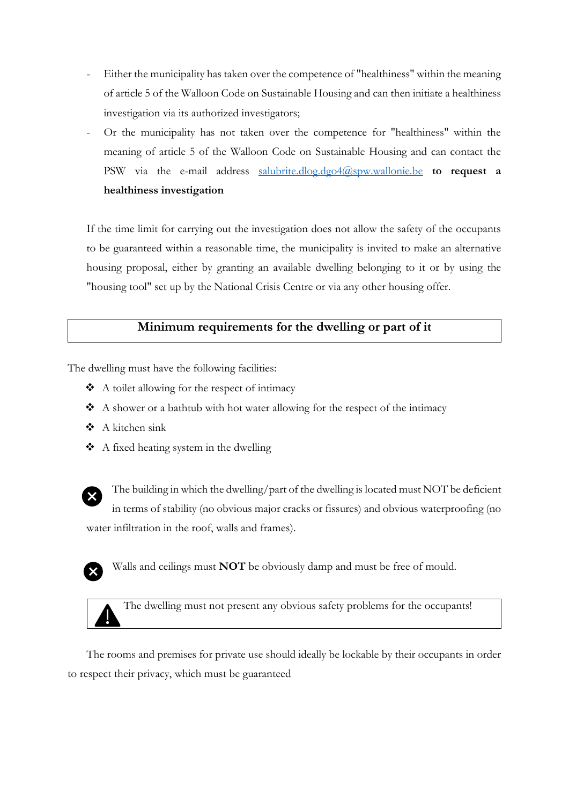- Either the municipality has taken over the competence of "healthiness" within the meaning of article 5 of the Walloon Code on Sustainable Housing and can then initiate a healthiness investigation via its authorized investigators;
- Or the municipality has not taken over the competence for "healthiness" within the meaning of article 5 of the Walloon Code on Sustainable Housing and can contact the PSW via the e-mail address [salubrite.dlog.dgo4@spw.wallonie.be](mailto:salubrite.dlog.dgo4@spw.wallonie.be) **to request a healthiness investigation**

If the time limit for carrying out the investigation does not allow the safety of the occupants to be guaranteed within a reasonable time, the municipality is invited to make an alternative housing proposal, either by granting an available dwelling belonging to it or by using the "housing tool" set up by the National Crisis Centre or via any other housing offer.

## **Minimum requirements for the dwelling or part of it**

The dwelling must have the following facilities:

- ❖ A toilet allowing for the respect of intimacy
- ❖ A shower or a bathtub with hot water allowing for the respect of the intimacy
- ❖ A kitchen sink
- ❖ A fixed heating system in the dwelling



The building in which the dwelling/part of the dwelling is located must NOT be deficient in terms of stability (no obvious major cracks or fissures) and obvious waterproofing (no water infiltration in the roof, walls and frames).



Walls and ceilings must **NOT** be obviously damp and must be free of mould.



The dwelling must not present any obvious safety problems for the occupants!

The rooms and premises for private use should ideally be lockable by their occupants in order to respect their privacy, which must be guaranteed